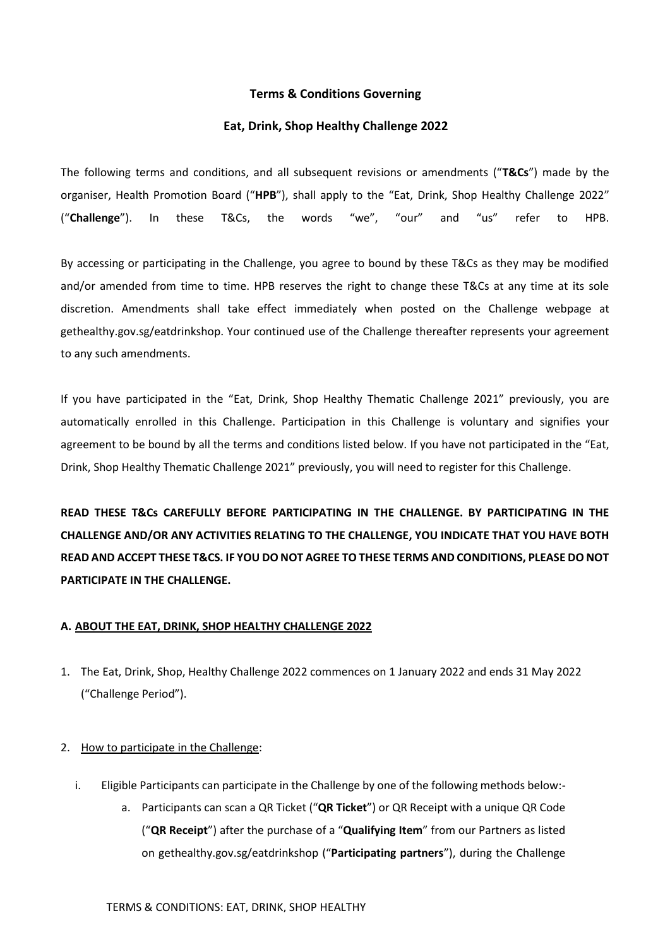# **Terms & Conditions Governing**

## **Eat, Drink, Shop Healthy Challenge 2022**

The following terms and conditions, and all subsequent revisions or amendments ("**T&Cs**") made by the organiser, Health Promotion Board ("**HPB**"), shall apply to the "Eat, Drink, Shop Healthy Challenge 2022" ("**Challenge**"). In these T&Cs, the words "we", "our" and "us" refer to HPB.

By accessing or participating in the Challenge, you agree to bound by these T&Cs as they may be modified and/or amended from time to time. HPB reserves the right to change these T&Cs at any time at its sole discretion. Amendments shall take effect immediately when posted on the Challenge webpage at gethealthy.gov.sg/eatdrinkshop. Your continued use of the Challenge thereafter represents your agreement to any such amendments.

If you have participated in the "Eat, Drink, Shop Healthy Thematic Challenge 2021" previously, you are automatically enrolled in this Challenge. Participation in this Challenge is voluntary and signifies your agreement to be bound by all the terms and conditions listed below. If you have not participated in the "Eat, Drink, Shop Healthy Thematic Challenge 2021" previously, you will need to register for this Challenge.

**READ THESE T&Cs CAREFULLY BEFORE PARTICIPATING IN THE CHALLENGE. BY PARTICIPATING IN THE CHALLENGE AND/OR ANY ACTIVITIES RELATING TO THE CHALLENGE, YOU INDICATE THAT YOU HAVE BOTH READ AND ACCEPT THESE T&CS. IF YOU DO NOT AGREE TO THESE TERMS AND CONDITIONS, PLEASE DO NOT PARTICIPATE IN THE CHALLENGE.** 

# **A. ABOUT THE EAT, DRINK, SHOP HEALTHY CHALLENGE 2022**

1. The Eat, Drink, Shop, Healthy Challenge 2022 commences on 1 January 2022 and ends 31 May 2022 ("Challenge Period").

# 2. How to participate in the Challenge:

- i. Eligible Participants can participate in the Challenge by one of the following methods below:
	- a. Participants can scan a QR Ticket ("**QR Ticket**") or QR Receipt with a unique QR Code ("**QR Receipt**") after the purchase of a "**Qualifying Item**" from our Partners as listed on gethealthy.gov.sg/eatdrinkshop ("**Participating partners**"), during the Challenge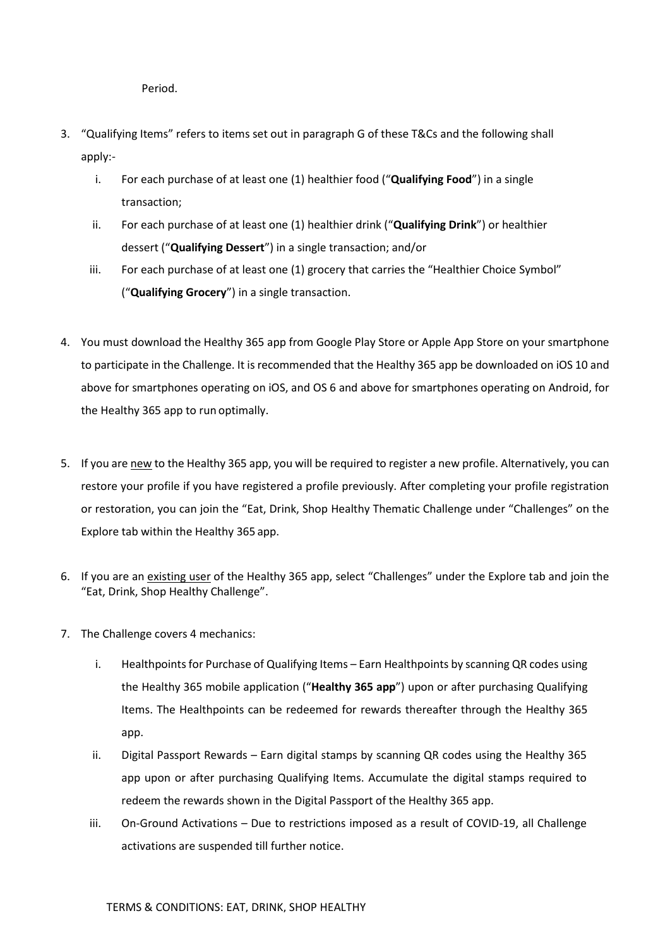Period.

- 3. "Qualifying Items" refers to items set out in paragraph G of these T&Cs and the following shall apply:
	- i. For each purchase of at least one (1) healthier food ("**Qualifying Food**") in a single transaction;
	- ii. For each purchase of at least one (1) healthier drink ("**Qualifying Drink**") or healthier dessert ("**Qualifying Dessert**") in a single transaction; and/or
	- iii. For each purchase of at least one (1) grocery that carries the "Healthier Choice Symbol" ("**Qualifying Grocery**") in a single transaction.
- 4. You must download the Healthy 365 app from Google Play Store or Apple App Store on your smartphone to participate in the Challenge. It is recommended that the Healthy 365 app be downloaded on iOS 10 and above for smartphones operating on iOS, and OS 6 and above for smartphones operating on Android, for the Healthy 365 app to run optimally.
- 5. If you are new to the Healthy 365 app, you will be required to register a new profile. Alternatively, you can restore your profile if you have registered a profile previously. After completing your profile registration or restoration, you can join the "Eat, Drink, Shop Healthy Thematic Challenge under "Challenges" on the Explore tab within the Healthy 365 app.
- 6. If you are an existing user of the Healthy 365 app, select "Challenges" under the Explore tab and join the "Eat, Drink, Shop Healthy Challenge".
- 7. The Challenge covers 4 mechanics:
	- i. Healthpoints for Purchase of Qualifying Items Earn Healthpoints by scanning QR codes using the Healthy 365 mobile application ("**Healthy 365 app**") upon or after purchasing Qualifying Items. The Healthpoints can be redeemed for rewards thereafter through the Healthy 365 app.
	- ii. Digital Passport Rewards Earn digital stamps by scanning QR codes using the Healthy 365 app upon or after purchasing Qualifying Items. Accumulate the digital stamps required to redeem the rewards shown in the Digital Passport of the Healthy 365 app.
	- iii. On-Ground Activations Due to restrictions imposed as a result of COVID-19, all Challenge activations are suspended till further notice.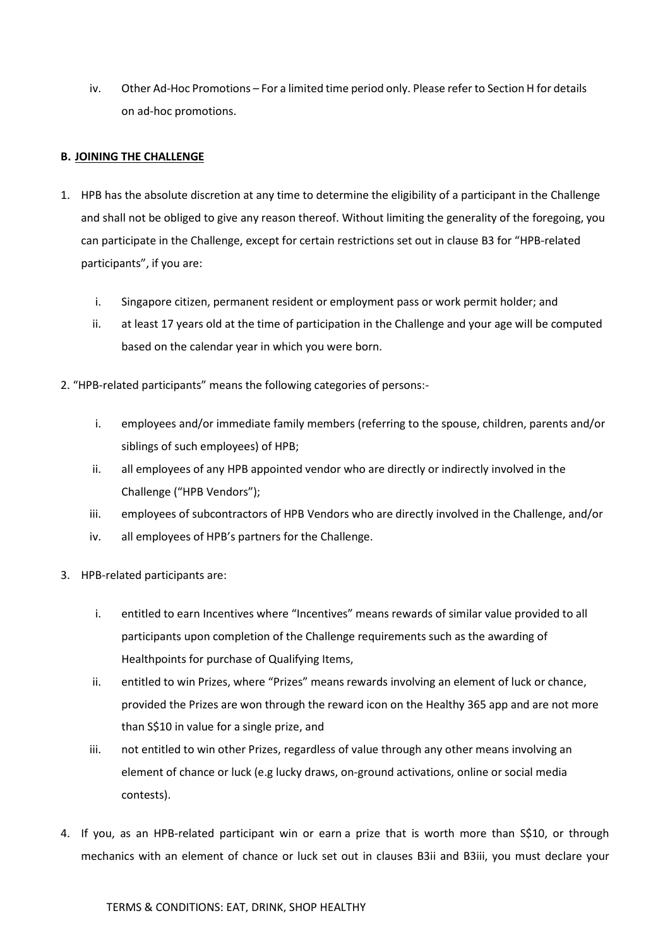iv. Other Ad-Hoc Promotions – For a limited time period only. Please refer to Section H for details on ad-hoc promotions.

# **B. JOINING THE CHALLENGE**

- 1. HPB has the absolute discretion at any time to determine the eligibility of a participant in the Challenge and shall not be obliged to give any reason thereof. Without limiting the generality of the foregoing, you can participate in the Challenge, except for certain restrictions set out in clause B3 for "HPB-related participants", if you are:
	- i. Singapore citizen, permanent resident or employment pass or work permit holder; and
	- ii. at least 17 years old at the time of participation in the Challenge and your age will be computed based on the calendar year in which you were born.
- 2. "HPB-related participants" means the following categories of persons:
	- i. employees and/or immediate family members (referring to the spouse, children, parents and/or siblings of such employees) of HPB;
	- ii. all employees of any HPB appointed vendor who are directly or indirectly involved in the Challenge ("HPB Vendors");
	- iii. employees of subcontractors of HPB Vendors who are directly involved in the Challenge, and/or
	- iv. all employees of HPB's partners for the Challenge.
- 3. HPB-related participants are:
	- i. entitled to earn Incentives where "Incentives" means rewards of similar value provided to all participants upon completion of the Challenge requirements such as the awarding of Healthpoints for purchase of Qualifying Items,
	- ii. entitled to win Prizes, where "Prizes" means rewards involving an element of luck or chance, provided the Prizes are won through the reward icon on the Healthy 365 app and are not more than S\$10 in value for a single prize, and
	- iii. not entitled to win other Prizes, regardless of value through any other means involving an element of chance or luck (e.g lucky draws, on-ground activations, online or social media contests).
- 4. If you, as an HPB-related participant win or earn a prize that is worth more than S\$10, or through mechanics with an element of chance or luck set out in clauses B3ii and B3iii, you must declare your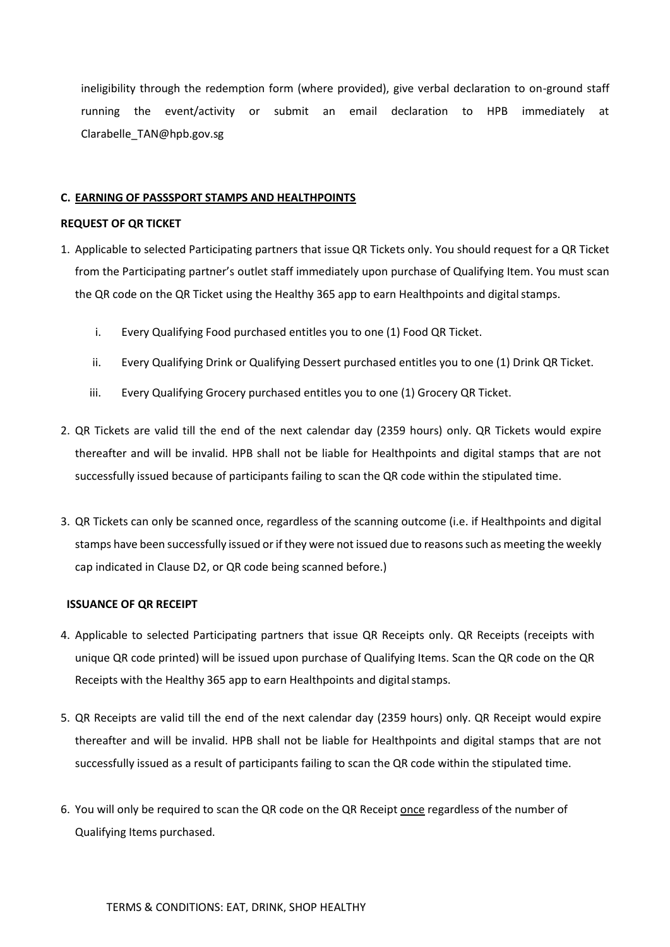ineligibility through the redemption form (where provided), give verbal declaration to on-ground staff running the event/activity or submit an email declaration to HPB immediately at Clarabelle\_TAN@hpb.gov.sg

### **C. EARNING OF PASSSPORT STAMPS AND HEALTHPOINTS**

#### **REQUEST OF QR TICKET**

- 1. Applicable to selected Participating partners that issue QR Tickets only. You should request for a QR Ticket from the Participating partner's outlet staff immediately upon purchase of Qualifying Item. You must scan the QR code on the QR Ticket using the Healthy 365 app to earn Healthpoints and digital stamps.
	- i. Every Qualifying Food purchased entitles you to one (1) Food QR Ticket.
	- ii. Every Qualifying Drink or Qualifying Dessert purchased entitles you to one (1) Drink QR Ticket.
	- iii. Every Qualifying Grocery purchased entitles you to one (1) Grocery QR Ticket.
- 2. QR Tickets are valid till the end of the next calendar day (2359 hours) only. QR Tickets would expire thereafter and will be invalid. HPB shall not be liable for Healthpoints and digital stamps that are not successfully issued because of participants failing to scan the QR code within the stipulated time.
- 3. QR Tickets can only be scanned once, regardless of the scanning outcome (i.e. if Healthpoints and digital stamps have been successfully issued or if they were not issued due to reasons such as meeting the weekly cap indicated in Clause D2, or QR code being scanned before.)

#### **ISSUANCE OF QR RECEIPT**

- 4. Applicable to selected Participating partners that issue QR Receipts only. QR Receipts (receipts with unique QR code printed) will be issued upon purchase of Qualifying Items. Scan the QR code on the QR Receipts with the Healthy 365 app to earn Healthpoints and digital stamps.
- 5. QR Receipts are valid till the end of the next calendar day (2359 hours) only. QR Receipt would expire thereafter and will be invalid. HPB shall not be liable for Healthpoints and digital stamps that are not successfully issued as a result of participants failing to scan the QR code within the stipulated time.
- 6. You will only be required to scan the QR code on the QR Receipt once regardless of the number of Qualifying Items purchased.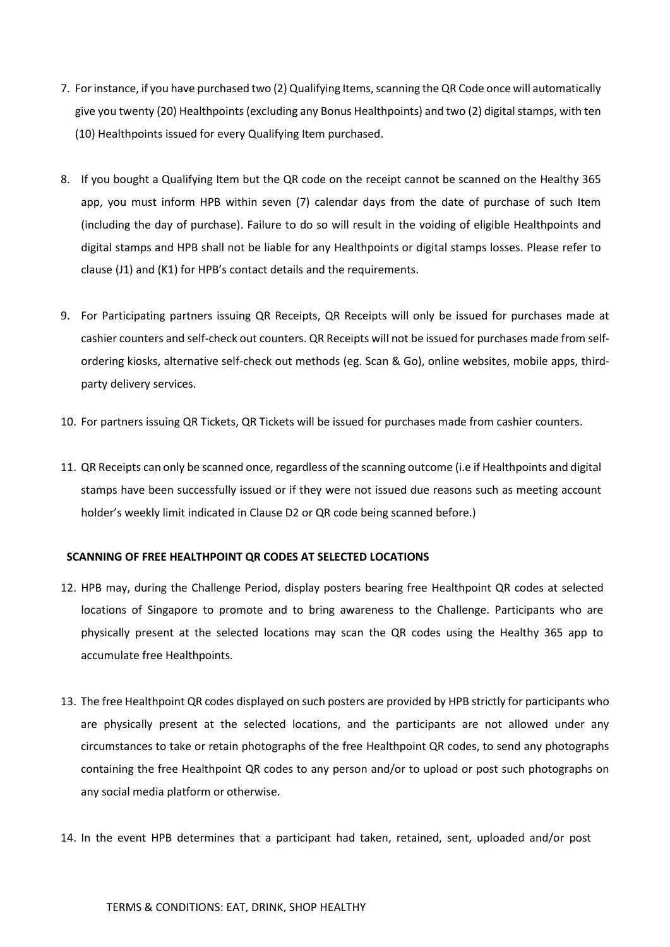- 7. For instance, if you have purchased two (2) Qualifying Items, scanning the QR Code once will automatically give you twenty (20) Healthpoints (excluding any Bonus Healthpoints) and two (2) digital stamps, with ten (10) Healthpoints issued for every Qualifying Item purchased.
- 8. If you bought a Qualifying Item but the QR code on the receipt cannot be scanned on the Healthy 365 app, you must inform HPB within seven (7) calendar days from the date of purchase of such Item (including the day of purchase). Failure to do so will result in the voiding of eligible Healthpoints and digital stamps and HPB shall not be liable for any Healthpoints or digital stamps losses. Please refer to clause (J1) and (K1) for HPB's contact details and the requirements.
- 9. For Participating partners issuing QR Receipts, QR Receipts will only be issued for purchases made at cashier counters and self-check out counters. QR Receipts will not be issued for purchases made from selfordering kiosks, alternative self-check out methods (eg. Scan & Go), online websites, mobile apps, thirdparty delivery services.
- 10. For partners issuing QR Tickets, QR Tickets will be issued for purchases made from cashier counters.
- 11. QR Receipts can only be scanned once, regardless of the scanning outcome (i.e if Healthpoints and digital stamps have been successfully issued or if they were not issued due reasons such as meeting account holder's weekly limit indicated in Clause D2 or QR code being scanned before.)

#### **SCANNING OF FREE HEALTHPOINT QR CODES AT SELECTED LOCATIONS**

- 12. HPB may, during the Challenge Period, display posters bearing free Healthpoint QR codes at selected locations of Singapore to promote and to bring awareness to the Challenge. Participants who are physically present at the selected locations may scan the QR codes using the Healthy 365 app to accumulate free Healthpoints.
- 13. The free Healthpoint QR codes displayed on such posters are provided by HPB strictly for participants who are physically present at the selected locations, and the participants are not allowed under any circumstances to take or retain photographs of the free Healthpoint QR codes, to send any photographs containing the free Healthpoint QR codes to any person and/or to upload or post such photographs on any social media platform or otherwise.
- 14. In the event HPB determines that a participant had taken, retained, sent, uploaded and/or post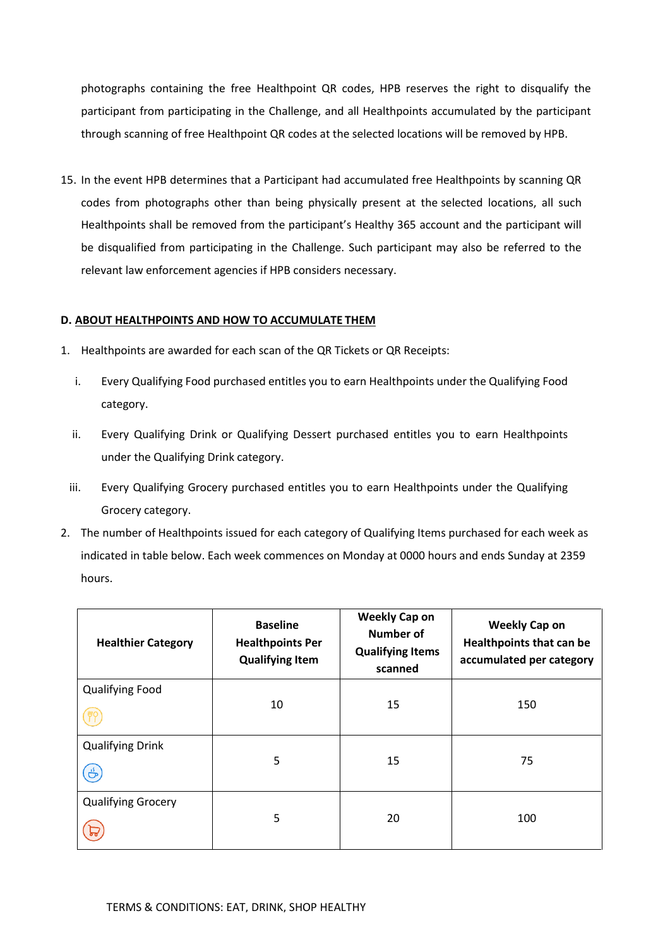photographs containing the free Healthpoint QR codes, HPB reserves the right to disqualify the participant from participating in the Challenge, and all Healthpoints accumulated by the participant through scanning of free Healthpoint QR codes at the selected locations will be removed by HPB.

15. In the event HPB determines that a Participant had accumulated free Healthpoints by scanning QR codes from photographs other than being physically present at the selected locations, all such Healthpoints shall be removed from the participant's Healthy 365 account and the participant will be disqualified from participating in the Challenge. Such participant may also be referred to the relevant law enforcement agencies if HPB considers necessary.

# **D. ABOUT HEALTHPOINTS AND HOW TO ACCUMULATE THEM**

- 1. Healthpoints are awarded for each scan of the QR Tickets or QR Receipts:
	- i. Every Qualifying Food purchased entitles you to earn Healthpoints under the Qualifying Food category.
	- ii. Every Qualifying Drink or Qualifying Dessert purchased entitles you to earn Healthpoints under the Qualifying Drink category.
	- iii. Every Qualifying Grocery purchased entitles you to earn Healthpoints under the Qualifying Grocery category.
- 2. The number of Healthpoints issued for each category of Qualifying Items purchased for each week as indicated in table below. Each week commences on Monday at 0000 hours and ends Sunday at 2359 hours.

| <b>Healthier Category</b>               | <b>Baseline</b><br><b>Healthpoints Per</b><br><b>Qualifying Item</b> | <b>Weekly Cap on</b><br>Number of<br><b>Qualifying Items</b><br>scanned | <b>Weekly Cap on</b><br><b>Healthpoints that can be</b><br>accumulated per category |
|-----------------------------------------|----------------------------------------------------------------------|-------------------------------------------------------------------------|-------------------------------------------------------------------------------------|
| <b>Qualifying Food</b>                  | 10                                                                   | 15                                                                      | 150                                                                                 |
| <b>Qualifying Drink</b><br>$\mathbf{e}$ | 5                                                                    | 15                                                                      | 75                                                                                  |
| <b>Qualifying Grocery</b>               | 5                                                                    | 20                                                                      | 100                                                                                 |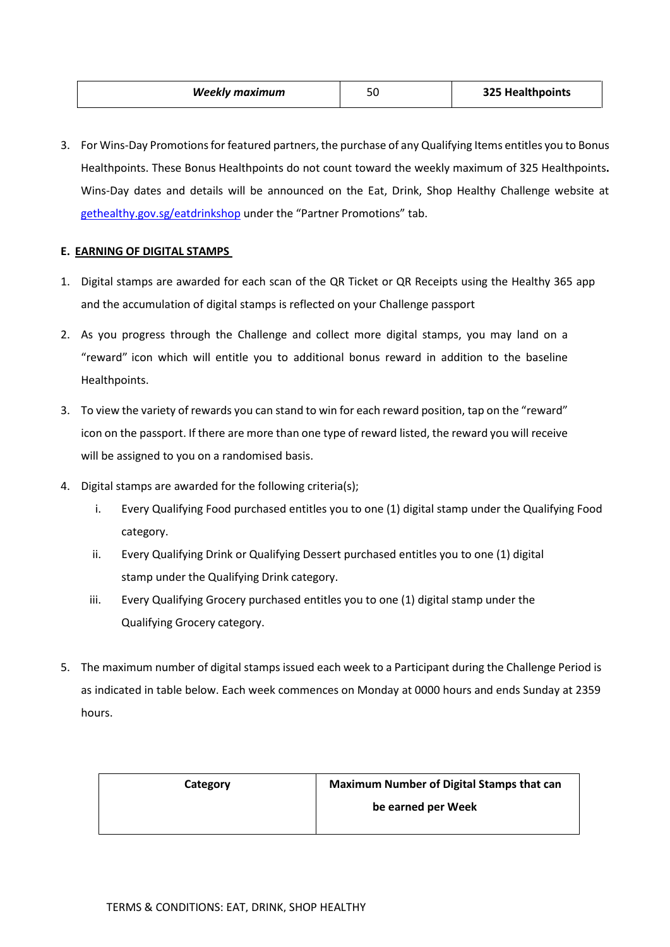| <b>Weekly maximum</b> | r r<br>- | 325 Healthpoints |
|-----------------------|----------|------------------|
|-----------------------|----------|------------------|

3. For Wins-Day Promotions for featured partners, the purchase of any Qualifying Items entitles you to Bonus Healthpoints. These Bonus Healthpoints do not count toward the weekly maximum of 325 Healthpoints**.** Wins-Day dates and details will be announced on the Eat, Drink, Shop Healthy Challenge website at [gethealthy.gov.sg/eatdrinkshop](http://gethealthy.gov.sg/eatdrinkshop) under the "Partner Promotions" tab.

# **E. EARNING OF DIGITAL STAMPS**

- 1. Digital stamps are awarded for each scan of the QR Ticket or QR Receipts using the Healthy 365 app and the accumulation of digital stamps is reflected on your Challenge passport
- 2. As you progress through the Challenge and collect more digital stamps, you may land on a "reward" icon which will entitle you to additional bonus reward in addition to the baseline Healthpoints.
- 3. To view the variety of rewards you can stand to win for each reward position, tap on the "reward" icon on the passport. If there are more than one type of reward listed, the reward you will receive will be assigned to you on a randomised basis.
- 4. Digital stamps are awarded for the following criteria(s);
	- i. Every Qualifying Food purchased entitles you to one (1) digital stamp under the Qualifying Food category.
	- ii. Every Qualifying Drink or Qualifying Dessert purchased entitles you to one (1) digital stamp under the Qualifying Drink category.
	- iii. Every Qualifying Grocery purchased entitles you to one (1) digital stamp under the Qualifying Grocery category.
- 5. The maximum number of digital stamps issued each week to a Participant during the Challenge Period is as indicated in table below. Each week commences on Monday at 0000 hours and ends Sunday at 2359 hours.

| Category | <b>Maximum Number of Digital Stamps that can</b> |  |
|----------|--------------------------------------------------|--|
|          | be earned per Week                               |  |
|          |                                                  |  |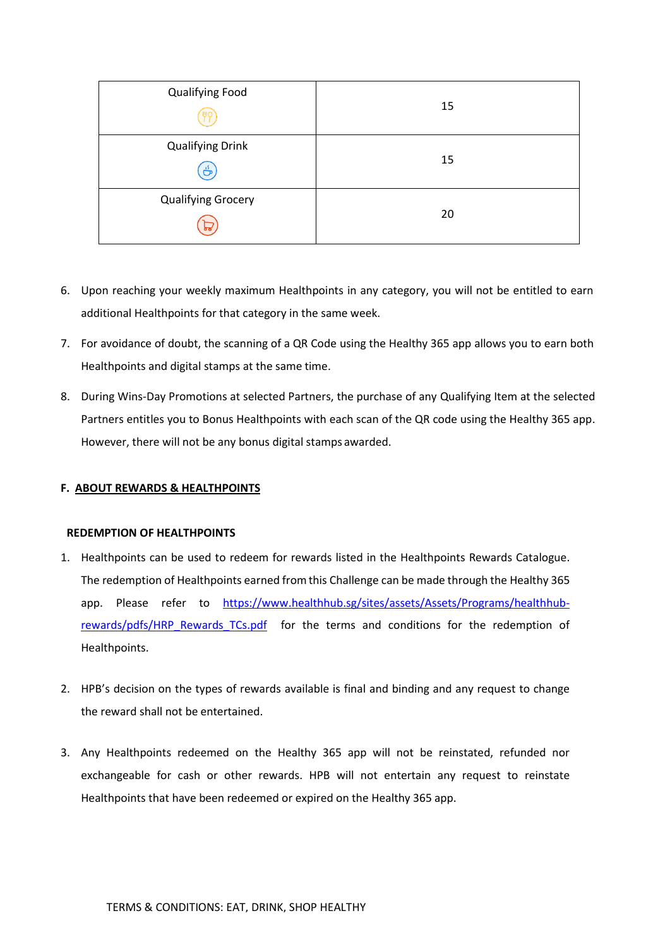| <b>Qualifying Food</b>         | 15 |
|--------------------------------|----|
| <b>Qualifying Drink</b><br>க்  | 15 |
| <b>Qualifying Grocery</b><br>ኤ | 20 |

- 6. Upon reaching your weekly maximum Healthpoints in any category, you will not be entitled to earn additional Healthpoints for that category in the same week.
- 7. For avoidance of doubt, the scanning of a QR Code using the Healthy 365 app allows you to earn both Healthpoints and digital stamps at the same time.
- 8. During Wins-Day Promotions at selected Partners, the purchase of any Qualifying Item at the selected Partners entitles you to Bonus Healthpoints with each scan of the QR code using the Healthy 365 app. However, there will not be any bonus digital stamps awarded.

# **F. ABOUT REWARDS & HEALTHPOINTS**

## **REDEMPTION OF HEALTHPOINTS**

- 1. Healthpoints can be used to redeem for rewards listed in the Healthpoints Rewards Catalogue. The redemption of Healthpoints earned fromthis Challenge can be made through the Healthy 365 app. Please refer to [https://www.healthhub.sg/sites/assets/Assets/Programs/healthhub](https://www.healthhub.sg/sites/assets/Assets/Programs/healthhub-rewards/pdfs/HRP_Rewards_TCs.pdf)[rewards/pdfs/HRP\\_Rewards\\_TCs.pdf](https://www.healthhub.sg/sites/assets/Assets/Programs/healthhub-rewards/pdfs/HRP_Rewards_TCs.pdf) [f](http://www.healthhub.sg/rewards/terms)or the terms and conditions for the redemption of Healthpoints.
- 2. HPB's decision on the types of rewards available is final and binding and any request to change the reward shall not be entertained.
- 3. Any Healthpoints redeemed on the Healthy 365 app will not be reinstated, refunded nor exchangeable for cash or other rewards. HPB will not entertain any request to reinstate Healthpoints that have been redeemed or expired on the Healthy 365 app.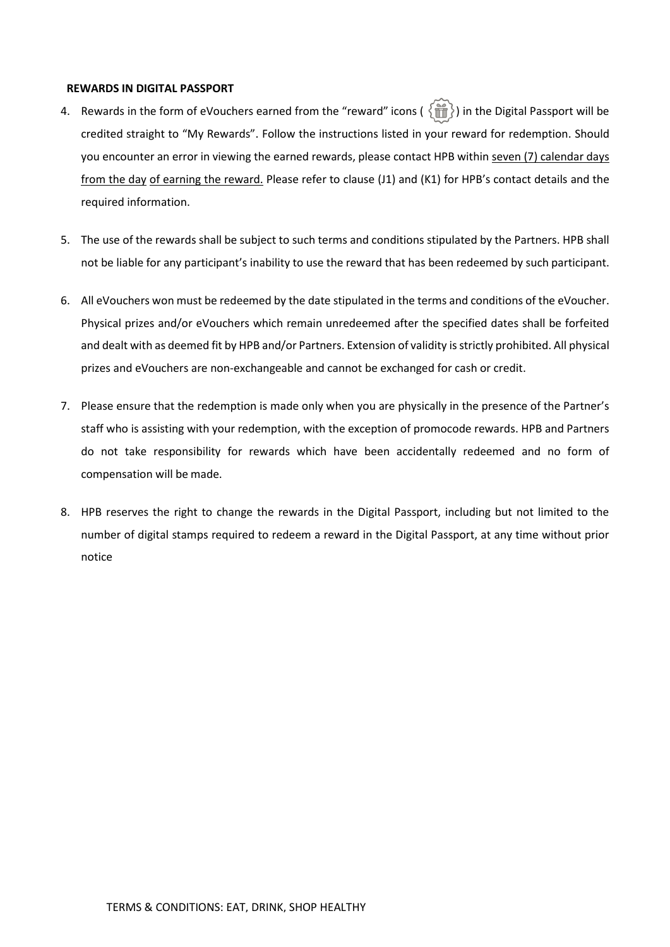#### **REWARDS IN DIGITAL PASSPORT**

- 4. Rewards in the form of eVouchers earned from the "reward" icons ( $\{\hat{\mathbf{m}}\}$ ) in the Digital Passport will be credited straight to "My Rewards". Follow the instructions listed in your reward for redemption. Should you encounter an error in viewing the earned rewards, please contact HPB within seven (7) calendar days from the day of earning the reward. Please refer to clause (J1) and (K1) for HPB's contact details and the required information.
- 5. The use of the rewards shall be subject to such terms and conditions stipulated by the Partners. HPB shall not be liable for any participant's inability to use the reward that has been redeemed by such participant.
- 6. All eVouchers won must be redeemed by the date stipulated in the terms and conditions of the eVoucher. Physical prizes and/or eVouchers which remain unredeemed after the specified dates shall be forfeited and dealt with as deemed fit by HPB and/or Partners. Extension of validity is strictly prohibited. All physical prizes and eVouchers are non-exchangeable and cannot be exchanged for cash or credit.
- 7. Please ensure that the redemption is made only when you are physically in the presence of the Partner's staff who is assisting with your redemption, with the exception of promocode rewards. HPB and Partners do not take responsibility for rewards which have been accidentally redeemed and no form of compensation will be made.
- 8. HPB reserves the right to change the rewards in the Digital Passport, including but not limited to the number of digital stamps required to redeem a reward in the Digital Passport, at any time without prior notice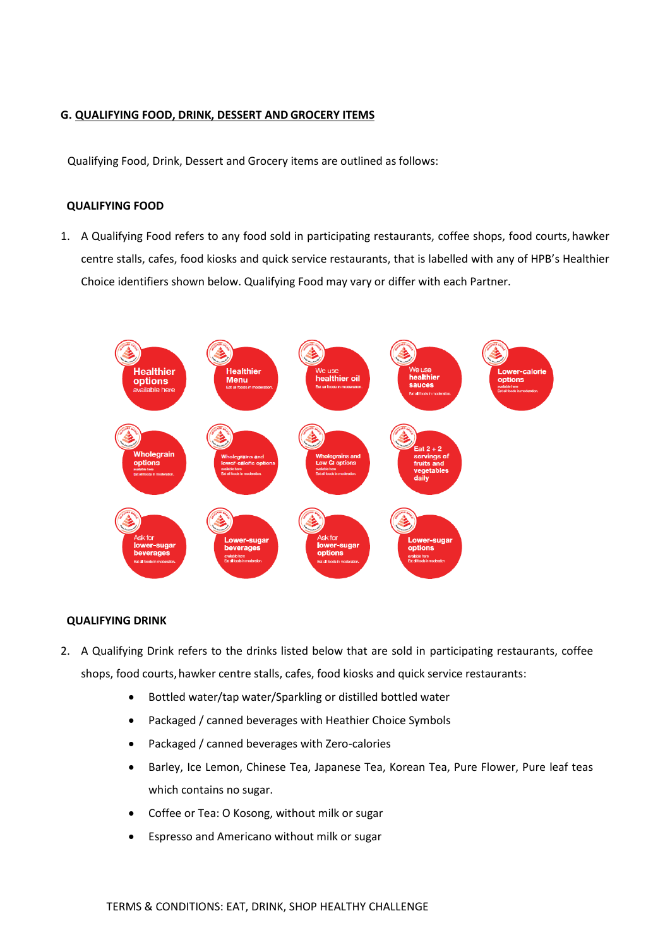# **G. QUALIFYING FOOD, DRINK, DESSERT AND GROCERY ITEMS**

Qualifying Food, Drink, Dessert and Grocery items are outlined as follows:

### **QUALIFYING FOOD**

1. A Qualifying Food refers to any food sold in participating restaurants, coffee shops, food courts, hawker centre stalls, cafes, food kiosks and quick service restaurants, that is labelled with any of HPB's Healthier Choice identifiers shown below. Qualifying Food may vary or differ with each Partner.



## **QUALIFYING DRINK**

- 2. A Qualifying Drink refers to the drinks listed below that are sold in participating restaurants, coffee shops, food courts, hawker centre stalls, cafes, food kiosks and quick service restaurants:
	- Bottled water/tap water/Sparkling or distilled bottled water
	- Packaged / canned beverages with Heathier Choice Symbols
	- Packaged / canned beverages with Zero-calories
	- Barley, Ice Lemon, Chinese Tea, Japanese Tea, Korean Tea, Pure Flower, Pure leaf teas which contains no sugar.
	- Coffee or Tea: O Kosong, without milk or sugar
	- Espresso and Americano without milk or sugar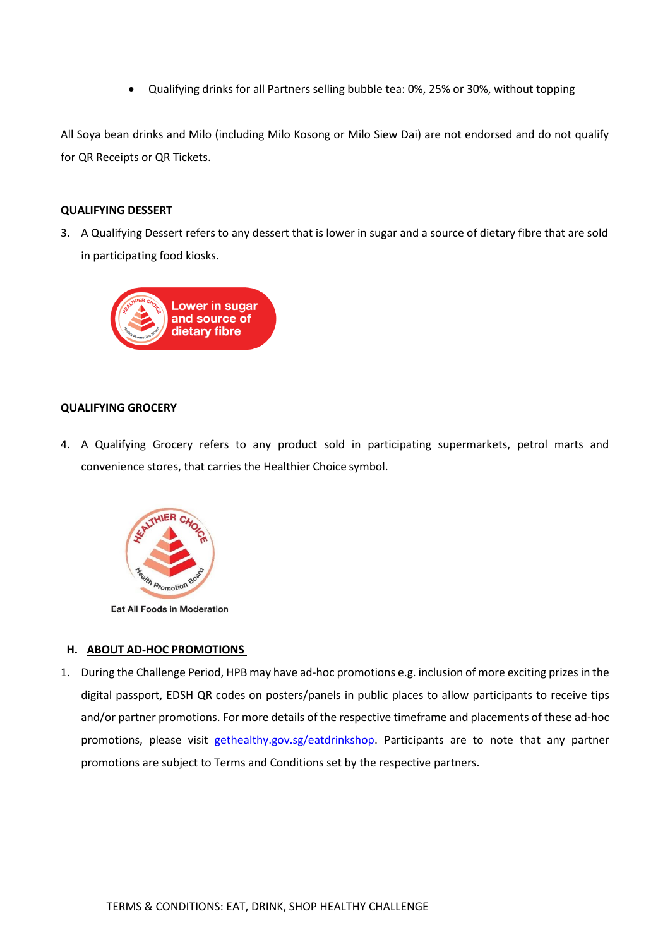• Qualifying drinks for all Partners selling bubble tea: 0%, 25% or 30%, without topping

All Soya bean drinks and Milo (including Milo Kosong or Milo Siew Dai) are not endorsed and do not qualify for QR Receipts or QR Tickets.

# **QUALIFYING DESSERT**

3. A Qualifying Dessert refers to any dessert that is lower in sugar and a source of dietary fibre that are sold in participating food kiosks.



# **QUALIFYING GROCERY**

4. A Qualifying Grocery refers to any product sold in participating supermarkets, petrol marts and convenience stores, that carries the Healthier Choice symbol.



**Eat All Foods in Moderation** 

## **H. ABOUT AD-HOC PROMOTIONS**

1. During the Challenge Period, HPB may have ad-hoc promotions e.g. inclusion of more exciting prizes in the digital passport, EDSH QR codes on posters/panels in public places to allow participants to receive tips and/or partner promotions. For more details of the respective timeframe and placements of these ad-hoc promotions, please visit [gethealthy.gov.sg/eatdrinkshop.](http://gethealthy.gov.sg/eatdrinkshop) Participants are to note that any partner promotions are subject to Terms and Conditions set by the respective partners.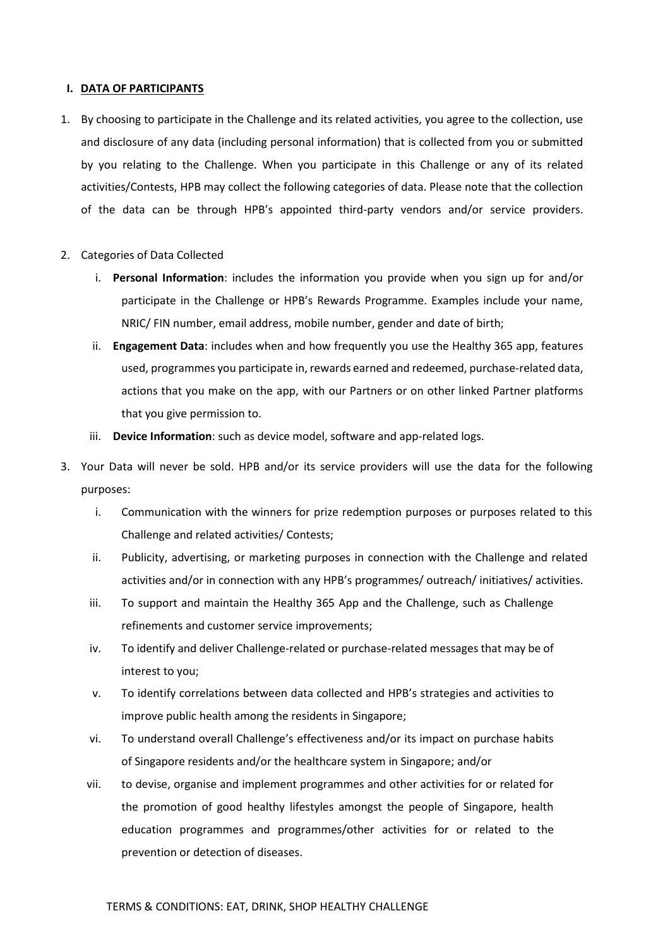#### **I. DATA OF PARTICIPANTS**

- 1. By choosing to participate in the Challenge and its related activities, you agree to the collection, use and disclosure of any data (including personal information) that is collected from you or submitted by you relating to the Challenge. When you participate in this Challenge or any of its related activities/Contests, HPB may collect the following categories of data. Please note that the collection of the data can be through HPB's appointed third-party vendors and/or service providers.
- 2. Categories of Data Collected
	- i. **Personal Information**: includes the information you provide when you sign up for and/or participate in the Challenge or HPB's Rewards Programme. Examples include your name, NRIC/ FIN number, email address, mobile number, gender and date of birth;
	- ii. **Engagement Data**: includes when and how frequently you use the Healthy 365 app, features used, programmes you participate in, rewards earned and redeemed, purchase-related data, actions that you make on the app, with our Partners or on other linked Partner platforms that you give permission to.
	- iii. **Device Information**: such as device model, software and app-related logs.
- 3. Your Data will never be sold. HPB and/or its service providers will use the data for the following purposes:
	- i. Communication with the winners for prize redemption purposes or purposes related to this Challenge and related activities/ Contests;
	- ii. Publicity, advertising, or marketing purposes in connection with the Challenge and related activities and/or in connection with any HPB's programmes/ outreach/ initiatives/ activities.
	- iii. To support and maintain the Healthy 365 App and the Challenge, such as Challenge refinements and customer service improvements;
	- iv. To identify and deliver Challenge-related or purchase-related messages that may be of interest to you;
	- v. To identify correlations between data collected and HPB's strategies and activities to improve public health among the residents in Singapore;
	- vi. To understand overall Challenge's effectiveness and/or its impact on purchase habits of Singapore residents and/or the healthcare system in Singapore; and/or
	- vii. to devise, organise and implement programmes and other activities for or related for the promotion of good healthy lifestyles amongst the people of Singapore, health education programmes and programmes/other activities for or related to the prevention or detection of diseases.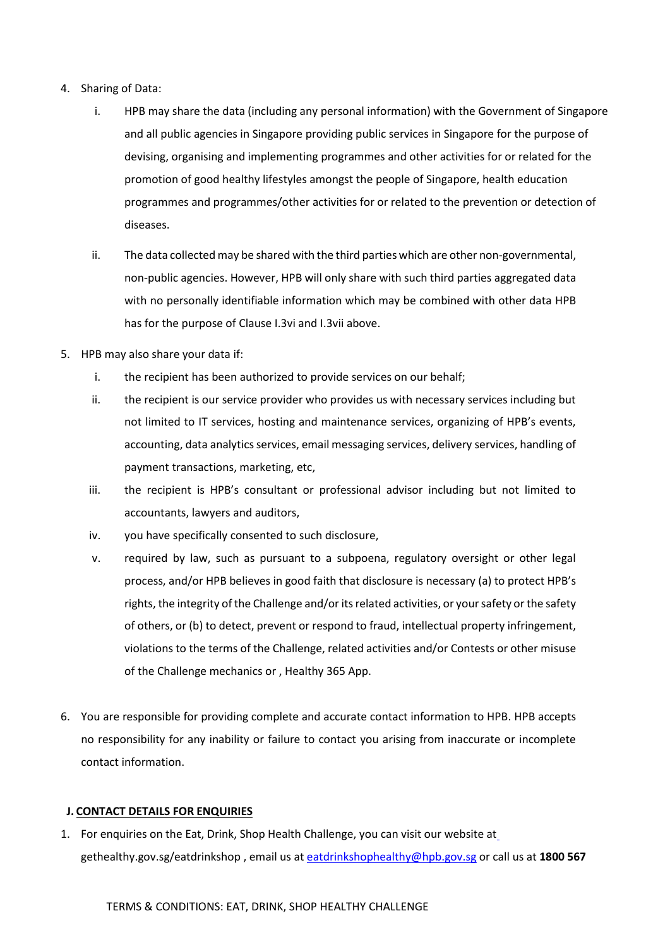- 4. Sharing of Data:
	- i. HPB may share the data (including any personal information) with the Government of Singapore and all public agencies in Singapore providing public services in Singapore for the purpose of devising, organising and implementing programmes and other activities for or related for the promotion of good healthy lifestyles amongst the people of Singapore, health education programmes and programmes/other activities for or related to the prevention or detection of diseases.
	- ii. The data collected may be shared with the third parties which are other non-governmental, non-public agencies. However, HPB will only share with such third parties aggregated data with no personally identifiable information which may be combined with other data HPB has for the purpose of Clause I.3vi and I.3vii above.
- 5. HPB may also share your data if:
	- i. the recipient has been authorized to provide services on our behalf;
	- ii. the recipient is our service provider who provides us with necessary services including but not limited to IT services, hosting and maintenance services, organizing of HPB's events, accounting, data analytics services, email messaging services, delivery services, handling of payment transactions, marketing, etc,
	- iii. the recipient is HPB's consultant or professional advisor including but not limited to accountants, lawyers and auditors,
	- iv. you have specifically consented to such disclosure,
	- v. required by law, such as pursuant to a subpoena, regulatory oversight or other legal process, and/or HPB believes in good faith that disclosure is necessary (a) to protect HPB's rights, the integrity of the Challenge and/or its related activities, or your safety or the safety of others, or (b) to detect, prevent or respond to fraud, intellectual property infringement, violations to the terms of the Challenge, related activities and/or Contests or other misuse of the Challenge mechanics or , Healthy 365 App.
- 6. You are responsible for providing complete and accurate contact information to HPB. HPB accepts no responsibility for any inability or failure to contact you arising from inaccurate or incomplete contact information.

## **J. CONTACT DETAILS FOR ENQUIRIES**

1. For enquiries on the Eat, Drink, Shop Health Challenge, you can visit our website at gethealthy.gov.sg/eatdrinkshop , email us at [eatdrinkshophealthy@hpb.gov.sg](mailto:eatdrinkshophealthy@hpb.gov.sg) or call us at **1800 567**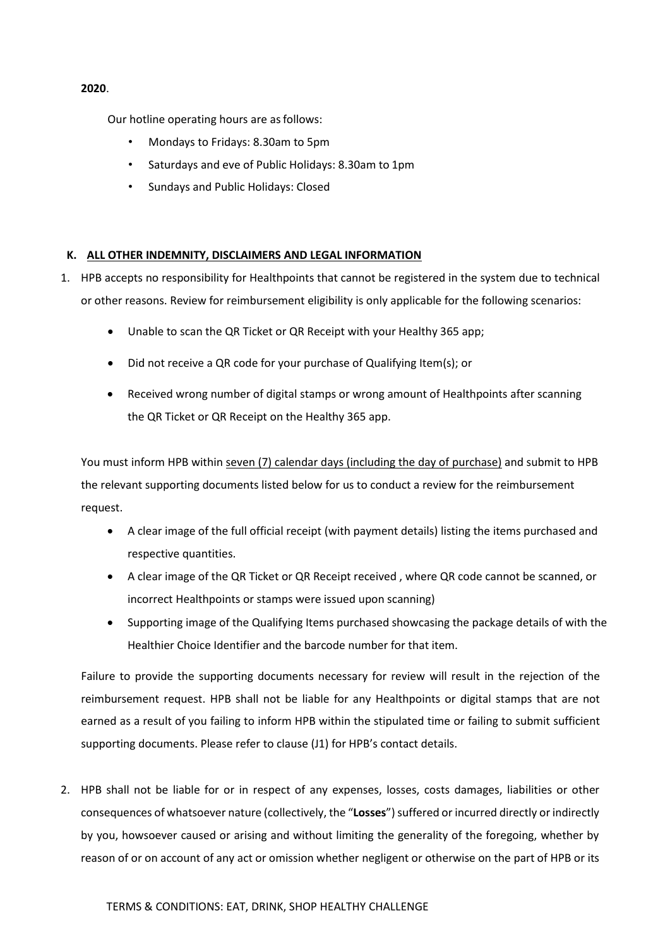### **2020**.

Our hotline operating hours are asfollows:

- Mondays to Fridays: 8.30am to 5pm
- Saturdays and eve of Public Holidays: 8.30am to 1pm
- Sundays and Public Holidays: Closed

## **K. ALL OTHER INDEMNITY, DISCLAIMERS AND LEGAL INFORMATION**

- 1. HPB accepts no responsibility for Healthpoints that cannot be registered in the system due to technical or other reasons. Review for reimbursement eligibility is only applicable for the following scenarios:
	- Unable to scan the QR Ticket or QR Receipt with your Healthy 365 app;
	- Did not receive a QR code for your purchase of Qualifying Item(s); or
	- Received wrong number of digital stamps or wrong amount of Healthpoints after scanning the QR Ticket or QR Receipt on the Healthy 365 app.

You must inform HPB within seven (7) calendar days (including the day of purchase) and submit to HPB the relevant supporting documents listed below for us to conduct a review for the reimbursement request.

- A clear image of the full official receipt (with payment details) listing the items purchased and respective quantities.
- A clear image of the QR Ticket or QR Receipt received , where QR code cannot be scanned, or incorrect Healthpoints or stamps were issued upon scanning)
- Supporting image of the Qualifying Items purchased showcasing the package details of with the Healthier Choice Identifier and the barcode number for that item.

Failure to provide the supporting documents necessary for review will result in the rejection of the reimbursement request. HPB shall not be liable for any Healthpoints or digital stamps that are not earned as a result of you failing to inform HPB within the stipulated time or failing to submit sufficient supporting documents. Please refer to clause (J1) for HPB's contact details.

2. HPB shall not be liable for or in respect of any expenses, losses, costs damages, liabilities or other consequences of whatsoever nature (collectively, the "**Losses**") suffered or incurred directly or indirectly by you, howsoever caused or arising and without limiting the generality of the foregoing, whether by reason of or on account of any act or omission whether negligent or otherwise on the part of HPB or its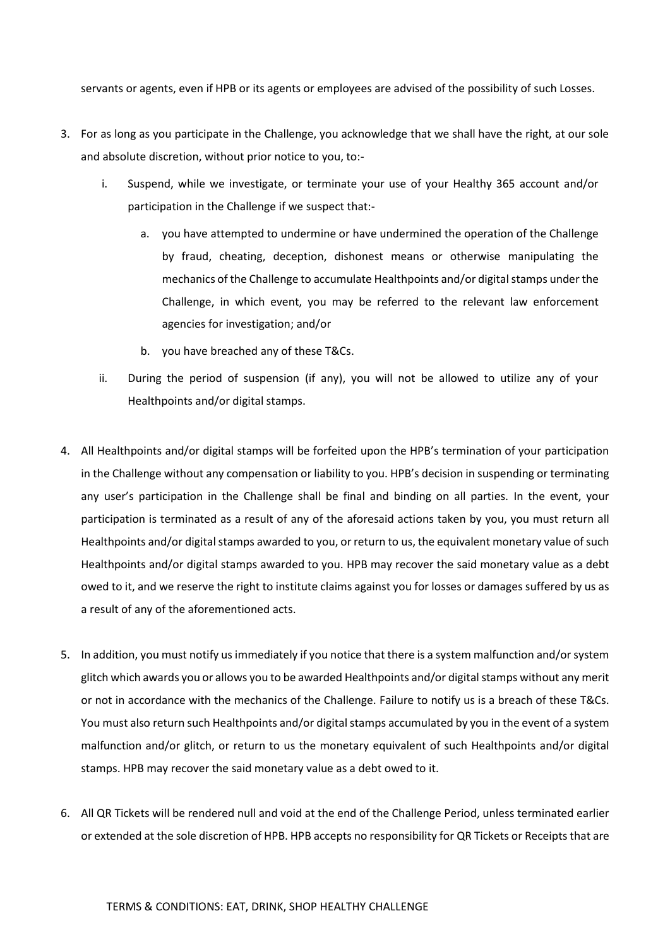servants or agents, even if HPB or its agents or employees are advised of the possibility of such Losses.

- 3. For as long as you participate in the Challenge, you acknowledge that we shall have the right, at our sole and absolute discretion, without prior notice to you, to:
	- i. Suspend, while we investigate, or terminate your use of your Healthy 365 account and/or participation in the Challenge if we suspect that:
		- a. you have attempted to undermine or have undermined the operation of the Challenge by fraud, cheating, deception, dishonest means or otherwise manipulating the mechanics of the Challenge to accumulate Healthpoints and/or digital stamps under the Challenge, in which event, you may be referred to the relevant law enforcement agencies for investigation; and/or
		- b. you have breached any of these T&Cs.
	- ii. During the period of suspension (if any), you will not be allowed to utilize any of your Healthpoints and/or digital stamps.
- 4. All Healthpoints and/or digital stamps will be forfeited upon the HPB's termination of your participation in the Challenge without any compensation or liability to you. HPB's decision in suspending or terminating any user's participation in the Challenge shall be final and binding on all parties. In the event, your participation is terminated as a result of any of the aforesaid actions taken by you, you must return all Healthpoints and/or digital stamps awarded to you, or return to us, the equivalent monetary value of such Healthpoints and/or digital stamps awarded to you. HPB may recover the said monetary value as a debt owed to it, and we reserve the right to institute claims against you for losses or damages suffered by us as a result of any of the aforementioned acts.
- 5. In addition, you must notify us immediately if you notice that there is a system malfunction and/or system glitch which awards you or allows you to be awarded Healthpoints and/or digital stamps without any merit or not in accordance with the mechanics of the Challenge. Failure to notify us is a breach of these T&Cs. You must also return such Healthpoints and/or digital stamps accumulated by you in the event of a system malfunction and/or glitch, or return to us the monetary equivalent of such Healthpoints and/or digital stamps. HPB may recover the said monetary value as a debt owed to it.
- 6. All QR Tickets will be rendered null and void at the end of the Challenge Period, unless terminated earlier or extended at the sole discretion of HPB. HPB accepts no responsibility for QR Tickets or Receipts that are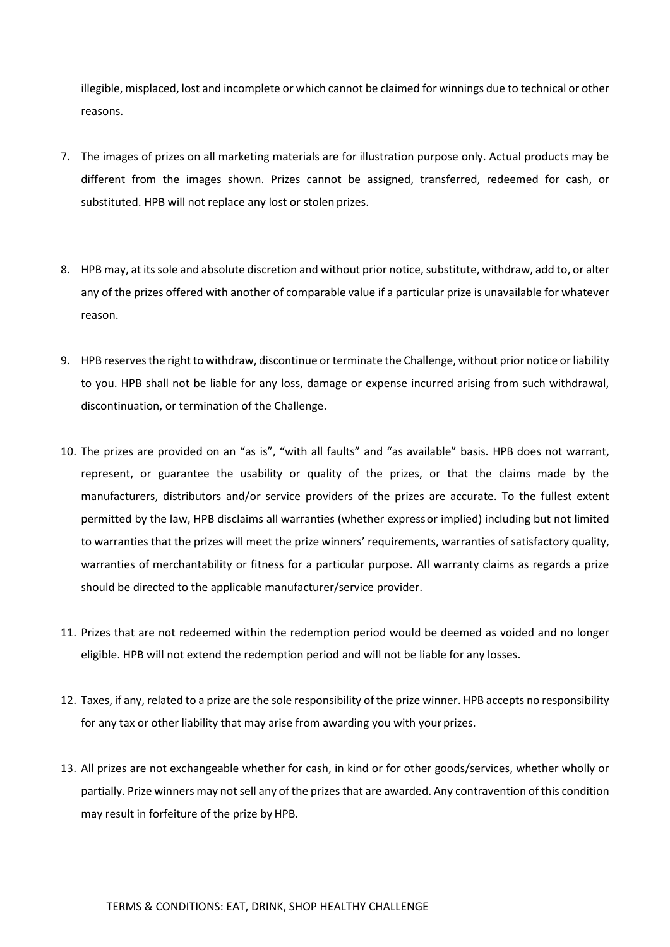illegible, misplaced, lost and incomplete or which cannot be claimed for winnings due to technical or other reasons.

- 7. The images of prizes on all marketing materials are for illustration purpose only. Actual products may be different from the images shown. Prizes cannot be assigned, transferred, redeemed for cash, or substituted. HPB will not replace any lost or stolen prizes.
- 8. HPB may, at its sole and absolute discretion and without prior notice, substitute, withdraw, add to, or alter any of the prizes offered with another of comparable value if a particular prize is unavailable for whatever reason.
- 9. HPB reserves the right to withdraw, discontinue or terminate the Challenge, without prior notice or liability to you. HPB shall not be liable for any loss, damage or expense incurred arising from such withdrawal, discontinuation, or termination of the Challenge.
- 10. The prizes are provided on an "as is", "with all faults" and "as available" basis. HPB does not warrant, represent, or guarantee the usability or quality of the prizes, or that the claims made by the manufacturers, distributors and/or service providers of the prizes are accurate. To the fullest extent permitted by the law, HPB disclaims all warranties (whether expressor implied) including but not limited to warranties that the prizes will meet the prize winners' requirements, warranties of satisfactory quality, warranties of merchantability or fitness for a particular purpose. All warranty claims as regards a prize should be directed to the applicable manufacturer/service provider.
- 11. Prizes that are not redeemed within the redemption period would be deemed as voided and no longer eligible. HPB will not extend the redemption period and will not be liable for any losses.
- 12. Taxes, if any, related to a prize are the sole responsibility of the prize winner. HPB accepts no responsibility for any tax or other liability that may arise from awarding you with your prizes.
- 13. All prizes are not exchangeable whether for cash, in kind or for other goods/services, whether wholly or partially. Prize winners may not sell any of the prizes that are awarded. Any contravention of this condition may result in forfeiture of the prize by HPB.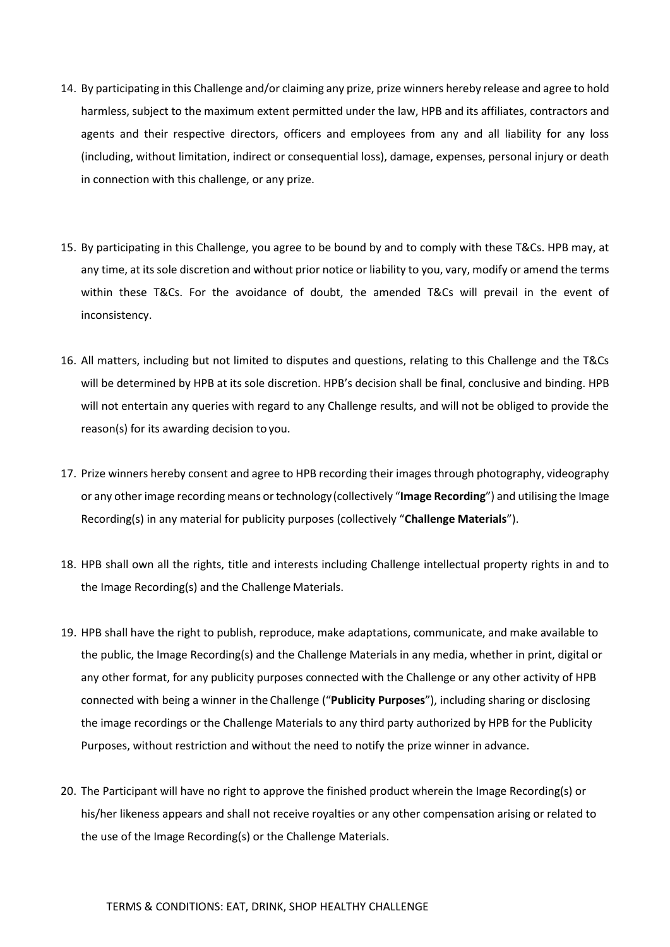- 14. By participating in this Challenge and/or claiming any prize, prize winners hereby release and agree to hold harmless, subject to the maximum extent permitted under the law, HPB and its affiliates, contractors and agents and their respective directors, officers and employees from any and all liability for any loss (including, without limitation, indirect or consequential loss), damage, expenses, personal injury or death in connection with this challenge, or any prize.
- 15. By participating in this Challenge, you agree to be bound by and to comply with these T&Cs. HPB may, at any time, at its sole discretion and without prior notice or liability to you, vary, modify or amend the terms within these T&Cs. For the avoidance of doubt, the amended T&Cs will prevail in the event of inconsistency.
- 16. All matters, including but not limited to disputes and questions, relating to this Challenge and the T&Cs will be determined by HPB at its sole discretion. HPB's decision shall be final, conclusive and binding. HPB will not entertain any queries with regard to any Challenge results, and will not be obliged to provide the reason(s) for its awarding decision to you.
- 17. Prize winners hereby consent and agree to HPB recording their images through photography, videography or any other image recording means or technology(collectively "**Image Recording**") and utilising the Image Recording(s) in any material for publicity purposes (collectively "**Challenge Materials**").
- 18. HPB shall own all the rights, title and interests including Challenge intellectual property rights in and to the Image Recording(s) and the Challenge Materials.
- 19. HPB shall have the right to publish, reproduce, make adaptations, communicate, and make available to the public, the Image Recording(s) and the Challenge Materials in any media, whether in print, digital or any other format, for any publicity purposes connected with the Challenge or any other activity of HPB connected with being a winner in the Challenge ("**Publicity Purposes**"), including sharing or disclosing the image recordings or the Challenge Materials to any third party authorized by HPB for the Publicity Purposes, without restriction and without the need to notify the prize winner in advance.
- 20. The Participant will have no right to approve the finished product wherein the Image Recording(s) or his/her likeness appears and shall not receive royalties or any other compensation arising or related to the use of the Image Recording(s) or the Challenge Materials.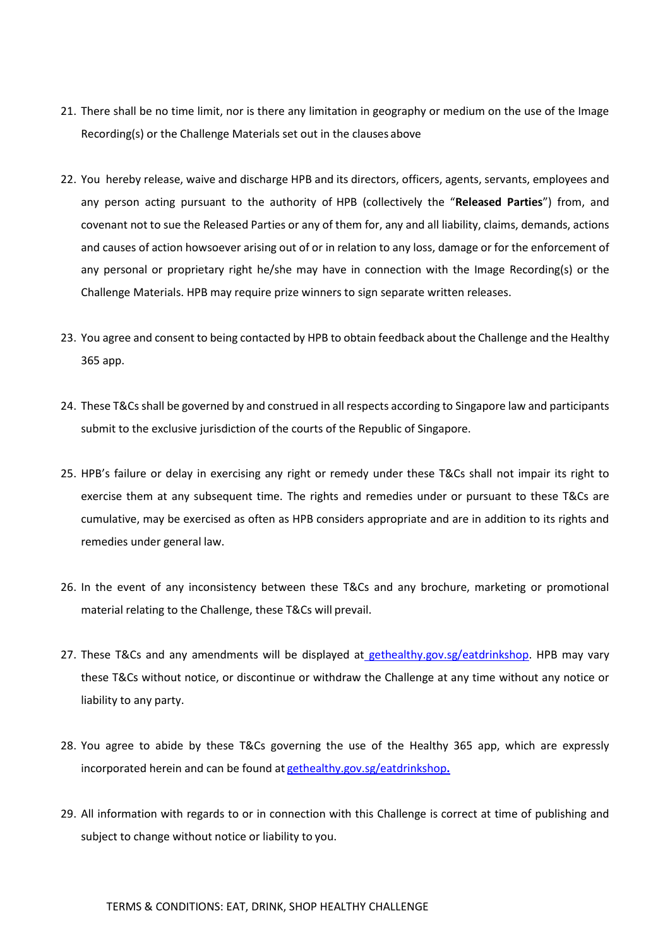- 21. There shall be no time limit, nor is there any limitation in geography or medium on the use of the Image Recording(s) or the Challenge Materials set out in the clauses above
- 22. You hereby release, waive and discharge HPB and its directors, officers, agents, servants, employees and any person acting pursuant to the authority of HPB (collectively the "**Released Parties**") from, and covenant not to sue the Released Parties or any of them for, any and all liability, claims, demands, actions and causes of action howsoever arising out of or in relation to any loss, damage or for the enforcement of any personal or proprietary right he/she may have in connection with the Image Recording(s) or the Challenge Materials. HPB may require prize winners to sign separate written releases.
- 23. You agree and consent to being contacted by HPB to obtain feedback about the Challenge and the Healthy 365 app.
- 24. These T&Cs shall be governed by and construed in all respects according to Singapore law and participants submit to the exclusive jurisdiction of the courts of the Republic of Singapore.
- 25. HPB's failure or delay in exercising any right or remedy under these T&Cs shall not impair its right to exercise them at any subsequent time. The rights and remedies under or pursuant to these T&Cs are cumulative, may be exercised as often as HPB considers appropriate and are in addition to its rights and remedies under general law.
- 26. In the event of any inconsistency between these T&Cs and any brochure, marketing or promotional material relating to the Challenge, these T&Cs will prevail.
- 27. These T&Cs and any amendments will be displayed at gethealthy.gov.sg/eatdrinksho[p. H](http://www.gethealthy.sg/eatdrinkshop)PB may vary these T&Cs without notice, or discontinue or withdraw the Challenge at any time without any notice or liability to any party.
- 28. You agree to abide by these T&Cs governing the use of the Healthy 365 app, which are expressly incorporated herein and can be found at [gethealthy.gov.sg/eatdrinkshop](http://gethealthy.gov.sg/eatdrinkshop.)**.**
- 29. All information with regards to or in connection with this Challenge is correct at time of publishing and subject to change without notice or liability to you.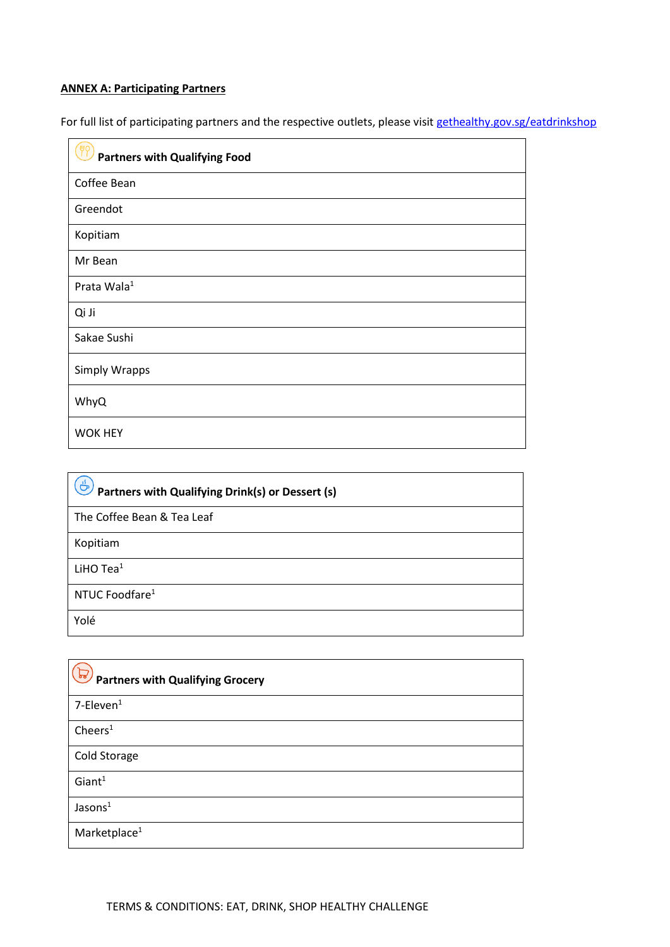# **ANNEX A: Participating Partners**

For full list of participating partners and the respective outlets, please visit [gethealthy.gov.sg/eatdrinkshop](http://gethealthy.gov.sg/eatdrinkshop)

| <b>Partners with Qualifying Food</b> |
|--------------------------------------|
| Coffee Bean                          |
| Greendot                             |
| Kopitiam                             |
| Mr Bean                              |
| Prata Wala <sup>1</sup>              |
| Qi Ji                                |
| Sakae Sushi                          |
| <b>Simply Wrapps</b>                 |
| WhyQ                                 |
| <b>WOK HEY</b>                       |

| Partners with Qualifying Drink(s) or Dessert (s) |  |
|--------------------------------------------------|--|
| The Coffee Bean & Tea Leaf                       |  |
| Kopitiam                                         |  |
| LiHO $Tea1$                                      |  |
| NTUC Foodfare <sup>1</sup>                       |  |
| Yolé                                             |  |

| $\sqrt{5}$<br><b>Partners with Qualifying Grocery</b> |
|-------------------------------------------------------|
| $7$ -Eleven $1$                                       |
| Cheers <sup>1</sup>                                   |
| Cold Storage                                          |
| Giant <sup>1</sup>                                    |
| Jasons <sup>1</sup>                                   |
| Marketplace <sup>1</sup>                              |